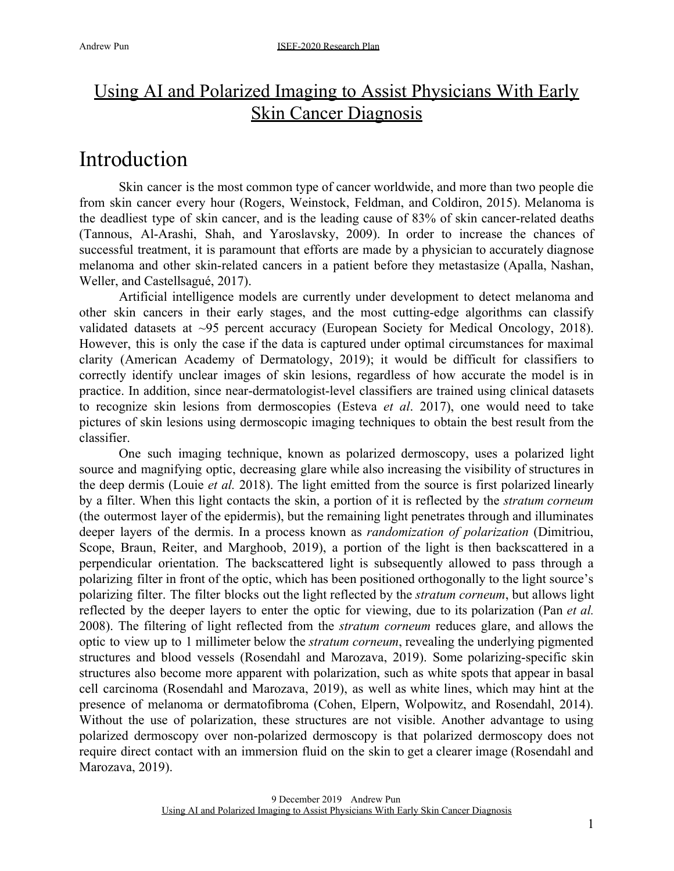### Using AI and Polarized Imaging to Assist Physicians With Early Skin Cancer Diagnosis

### Introduction

Skin cancer is the most common type of cancer worldwide, and more than two people die from skin cancer every hour (Rogers, Weinstock, Feldman, and Coldiron, 2015). Melanoma is the deadliest type of skin cancer, and is the leading cause of 83% of skin cancer-related deaths (Tannous, Al-Arashi, Shah, and Yaroslavsky, 2009). In order to increase the chances of successful treatment, it is paramount that efforts are made by a physician to accurately diagnose melanoma and other skin-related cancers in a patient before they metastasize (Apalla, Nashan, Weller, and Castellsagué, 2017).

Artificial intelligence models are currently under development to detect melanoma and other skin cancers in their early stages, and the most cutting-edge algorithms can classify validated datasets at ~95 percent accuracy (European Society for Medical Oncology, 2018). However, this is only the case if the data is captured under optimal circumstances for maximal clarity (American Academy of Dermatology, 2019); it would be difficult for classifiers to correctly identify unclear images of skin lesions, regardless of how accurate the model is in practice. In addition, since near-dermatologist-level classifiers are trained using clinical datasets to recognize skin lesions from dermoscopies (Esteva *et al*. 2017), one would need to take pictures of skin lesions using dermoscopic imaging techniques to obtain the best result from the classifier.

One such imaging technique, known as polarized dermoscopy, uses a polarized light source and magnifying optic, decreasing glare while also increasing the visibility of structures in the deep dermis (Louie *et al.* 2018). The light emitted from the source is first polarized linearly by a filter. When this light contacts the skin, a portion of it is reflected by the *stratum corneum* (the outermost layer of the epidermis), but the remaining light penetrates through and illuminates deeper layers of the dermis. In a process known as *randomization of polarization* (Dimitriou, Scope, Braun, Reiter, and Marghoob, 2019), a portion of the light is then backscattered in a perpendicular orientation. The backscattered light is subsequently allowed to pass through a polarizing filter in front of the optic, which has been positioned orthogonally to the light source's polarizing filter. The filter blocks out the light reflected by the *stratum corneum*, but allows light reflected by the deeper layers to enter the optic for viewing, due to its polarization (Pan *et al.* 2008). The filtering of light reflected from the *stratum corneum* reduces glare, and allows the optic to view up to 1 millimeter below the *stratum corneum*, revealing the underlying pigmented structures and blood vessels (Rosendahl and Marozava, 2019). Some polarizing-specific skin structures also become more apparent with polarization, such as white spots that appear in basal cell carcinoma (Rosendahl and Marozava, 2019), as well as white lines, which may hint at the presence of melanoma or dermatofibroma (Cohen, Elpern, Wolpowitz, and Rosendahl, 2014). Without the use of polarization, these structures are not visible. Another advantage to using polarized dermoscopy over non-polarized dermoscopy is that polarized dermoscopy does not require direct contact with an immersion fluid on the skin to get a clearer image (Rosendahl and Marozava, 2019).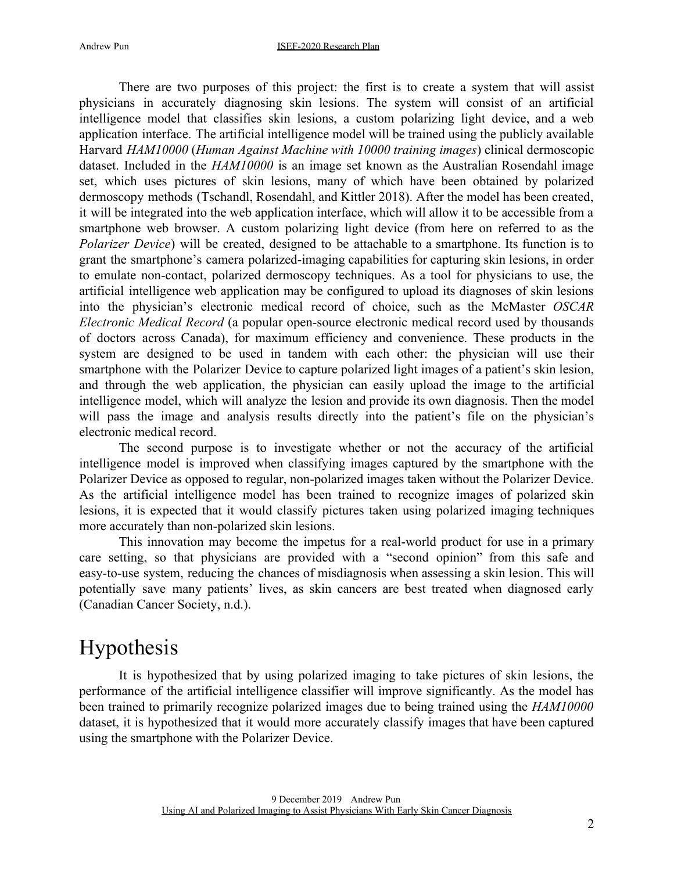There are two purposes of this project: the first is to create a system that will assist physicians in accurately diagnosing skin lesions. The system will consist of an artificial intelligence model that classifies skin lesions, a custom polarizing light device, and a web application interface. The artificial intelligence model will be trained using the publicly available Harvard *HAM10000* (*Human Against Machine with 10000 training images*) clinical dermoscopic dataset. Included in the *HAM10000* is an image set known as the Australian Rosendahl image set, which uses pictures of skin lesions, many of which have been obtained by polarized dermoscopy methods (Tschandl, Rosendahl, and Kittler 2018). After the model has been created, it will be integrated into the web application interface, which will allow it to be accessible from a smartphone web browser. A custom polarizing light device (from here on referred to as the *Polarizer Device*) will be created, designed to be attachable to a smartphone. Its function is to grant the smartphone's camera polarized-imaging capabilities for capturing skin lesions, in order to emulate non-contact, polarized dermoscopy techniques. As a tool for physicians to use, the artificial intelligence web application may be configured to upload its diagnoses of skin lesions into the physician's electronic medical record of choice, such as the McMaster *OSCAR Electronic Medical Record* (a popular open-source electronic medical record used by thousands of doctors across Canada), for maximum efficiency and convenience. These products in the system are designed to be used in tandem with each other: the physician will use their smartphone with the Polarizer Device to capture polarized light images of a patient's skin lesion, and through the web application, the physician can easily upload the image to the artificial intelligence model, which will analyze the lesion and provide its own diagnosis. Then the model will pass the image and analysis results directly into the patient's file on the physician's electronic medical record.

The second purpose is to investigate whether or not the accuracy of the artificial intelligence model is improved when classifying images captured by the smartphone with the Polarizer Device as opposed to regular, non-polarized images taken without the Polarizer Device. As the artificial intelligence model has been trained to recognize images of polarized skin lesions, it is expected that it would classify pictures taken using polarized imaging techniques more accurately than non-polarized skin lesions.

This innovation may become the impetus for a real-world product for use in a primary care setting, so that physicians are provided with a "second opinion" from this safe and easy-to-use system, reducing the chances of misdiagnosis when assessing a skin lesion. This will potentially save many patients' lives, as skin cancers are best treated when diagnosed early (Canadian Cancer Society, n.d.).

## Hypothesis

It is hypothesized that by using polarized imaging to take pictures of skin lesions, the performance of the artificial intelligence classifier will improve significantly. As the model has been trained to primarily recognize polarized images due to being trained using the *HAM10000* dataset, it is hypothesized that it would more accurately classify images that have been captured using the smartphone with the Polarizer Device.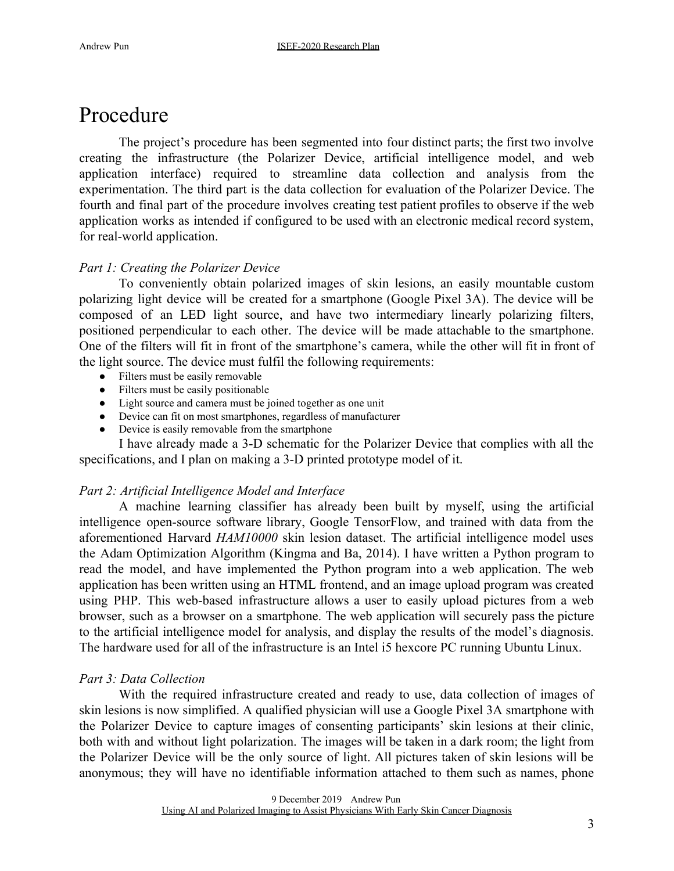## Procedure

The project's procedure has been segmented into four distinct parts; the first two involve creating the infrastructure (the Polarizer Device, artificial intelligence model, and web application interface) required to streamline data collection and analysis from the experimentation. The third part is the data collection for evaluation of the Polarizer Device. The fourth and final part of the procedure involves creating test patient profiles to observe if the web application works as intended if configured to be used with an electronic medical record system, for real-world application.

#### *Part 1: Creating the Polarizer Device*

To conveniently obtain polarized images of skin lesions, an easily mountable custom polarizing light device will be created for a smartphone (Google Pixel 3A). The device will be composed of an LED light source, and have two intermediary linearly polarizing filters, positioned perpendicular to each other. The device will be made attachable to the smartphone. One of the filters will fit in front of the smartphone's camera, while the other will fit in front of the light source. The device must fulfil the following requirements:

- Filters must be easily removable
- Filters must be easily positionable
- Light source and camera must be joined together as one unit
- Device can fit on most smartphones, regardless of manufacturer
- Device is easily removable from the smartphone

I have already made a 3-D schematic for the Polarizer Device that complies with all the specifications, and I plan on making a 3-D printed prototype model of it.

#### *Part 2: Artificial Intelligence Model and Interface*

A machine learning classifier has already been built by myself, using the artificial intelligence open-source software library, Google TensorFlow, and trained with data from the aforementioned Harvard *HAM10000* skin lesion dataset. The artificial intelligence model uses the Adam Optimization Algorithm (Kingma and Ba, 2014). I have written a Python program to read the model, and have implemented the Python program into a web application. The web application has been written using an HTML frontend, and an image upload program was created using PHP. This web-based infrastructure allows a user to easily upload pictures from a web browser, such as a browser on a smartphone. The web application will securely pass the picture to the artificial intelligence model for analysis, and display the results of the model's diagnosis. The hardware used for all of the infrastructure is an Intel i5 hexcore PC running Ubuntu Linux.

#### *Part 3: Data Collection*

With the required infrastructure created and ready to use, data collection of images of skin lesions is now simplified. A qualified physician will use a Google Pixel 3A smartphone with the Polarizer Device to capture images of consenting participants' skin lesions at their clinic, both with and without light polarization. The images will be taken in a dark room; the light from the Polarizer Device will be the only source of light. All pictures taken of skin lesions will be anonymous; they will have no identifiable information attached to them such as names, phone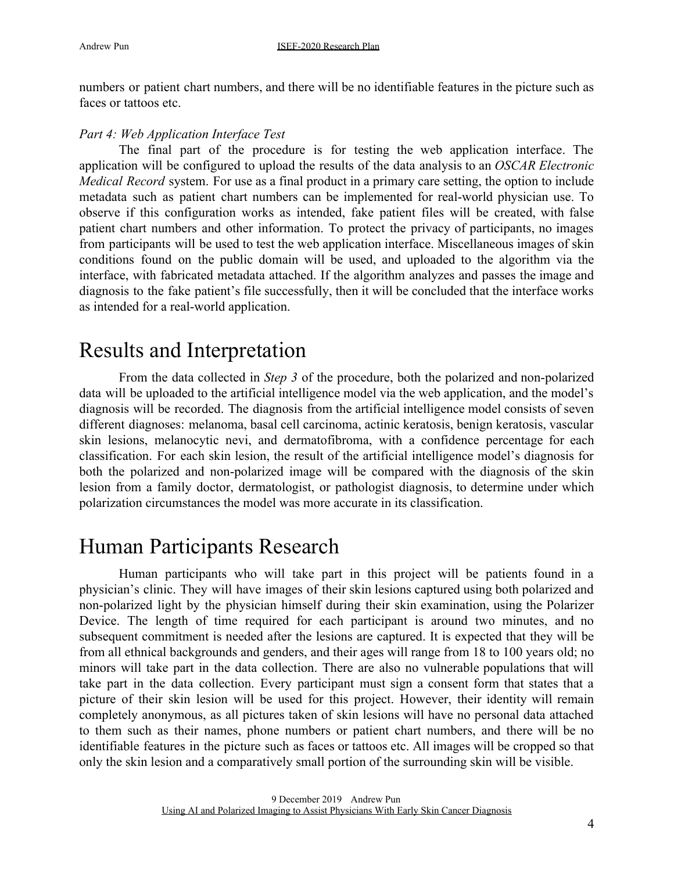numbers or patient chart numbers, and there will be no identifiable features in the picture such as faces or tattoos etc.

#### *Part 4: Web Application Interface Test*

The final part of the procedure is for testing the web application interface. The application will be configured to upload the results of the data analysis to an *OSCAR Electronic Medical Record* system. For use as a final product in a primary care setting, the option to include metadata such as patient chart numbers can be implemented for real-world physician use. To observe if this configuration works as intended, fake patient files will be created, with false patient chart numbers and other information. To protect the privacy of participants, no images from participants will be used to test the web application interface. Miscellaneous images of skin conditions found on the public domain will be used, and uploaded to the algorithm via the interface, with fabricated metadata attached. If the algorithm analyzes and passes the image and diagnosis to the fake patient's file successfully, then it will be concluded that the interface works as intended for a real-world application.

### Results and Interpretation

From the data collected in *Step 3* of the procedure, both the polarized and non-polarized data will be uploaded to the artificial intelligence model via the web application, and the model's diagnosis will be recorded. The diagnosis from the artificial intelligence model consists of seven different diagnoses: melanoma, basal cell carcinoma, actinic keratosis, benign keratosis, vascular skin lesions, melanocytic nevi, and dermatofibroma, with a confidence percentage for each classification. For each skin lesion, the result of the artificial intelligence model's diagnosis for both the polarized and non-polarized image will be compared with the diagnosis of the skin lesion from a family doctor, dermatologist, or pathologist diagnosis, to determine under which polarization circumstances the model was more accurate in its classification.

### Human Participants Research

Human participants who will take part in this project will be patients found in a physician's clinic. They will have images of their skin lesions captured using both polarized and non-polarized light by the physician himself during their skin examination, using the Polarizer Device. The length of time required for each participant is around two minutes, and no subsequent commitment is needed after the lesions are captured. It is expected that they will be from all ethnical backgrounds and genders, and their ages will range from 18 to 100 years old; no minors will take part in the data collection. There are also no vulnerable populations that will take part in the data collection. Every participant must sign a consent form that states that a picture of their skin lesion will be used for this project. However, their identity will remain completely anonymous, as all pictures taken of skin lesions will have no personal data attached to them such as their names, phone numbers or patient chart numbers, and there will be no identifiable features in the picture such as faces or tattoos etc. All images will be cropped so that only the skin lesion and a comparatively small portion of the surrounding skin will be visible.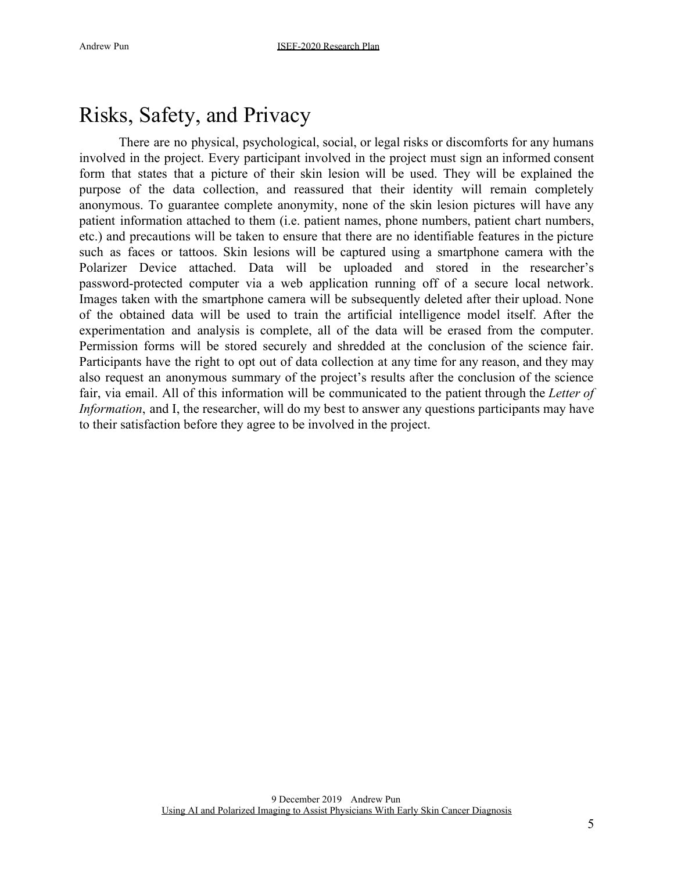## Risks, Safety, and Privacy

There are no physical, psychological, social, or legal risks or discomforts for any humans involved in the project. Every participant involved in the project must sign an informed consent form that states that a picture of their skin lesion will be used. They will be explained the purpose of the data collection, and reassured that their identity will remain completely anonymous. To guarantee complete anonymity, none of the skin lesion pictures will have any patient information attached to them (i.e. patient names, phone numbers, patient chart numbers, etc.) and precautions will be taken to ensure that there are no identifiable features in the picture such as faces or tattoos. Skin lesions will be captured using a smartphone camera with the Polarizer Device attached. Data will be uploaded and stored in the researcher's password-protected computer via a web application running off of a secure local network. Images taken with the smartphone camera will be subsequently deleted after their upload. None of the obtained data will be used to train the artificial intelligence model itself. After the experimentation and analysis is complete, all of the data will be erased from the computer. Permission forms will be stored securely and shredded at the conclusion of the science fair. Participants have the right to opt out of data collection at any time for any reason, and they may also request an anonymous summary of the project's results after the conclusion of the science fair, via email. All of this information will be communicated to the patient through the *Letter of Information*, and I, the researcher, will do my best to answer any questions participants may have to their satisfaction before they agree to be involved in the project.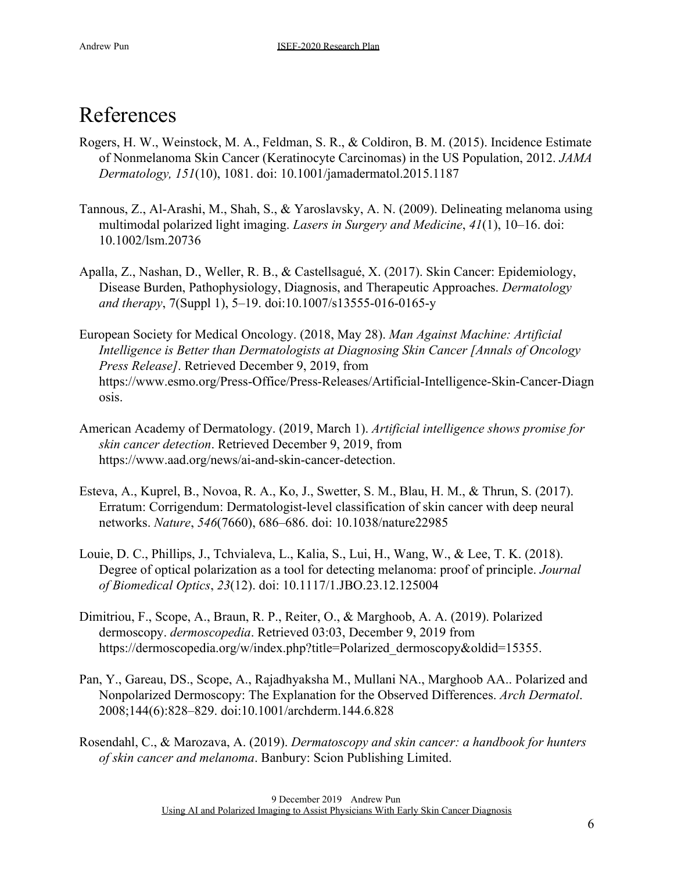## References

- Rogers, H. W., Weinstock, M. A., Feldman, S. R., & Coldiron, B. M. (2015). Incidence Estimate of Nonmelanoma Skin Cancer (Keratinocyte Carcinomas) in the US Population, 2012. *JAMA Dermatology, 151*(10), 1081. doi: 10.1001/jamadermatol.2015.1187
- Tannous, Z., Al-Arashi, M., Shah, S., & Yaroslavsky, A. N. (2009). Delineating melanoma using multimodal polarized light imaging. *Lasers in Surgery and Medicine*, *41*(1), 10–16. doi: 10.1002/lsm.20736
- Apalla, Z., Nashan, D., Weller, R. B., & Castellsagué, X. (2017). Skin Cancer: Epidemiology, Disease Burden, Pathophysiology, Diagnosis, and Therapeutic Approaches. *Dermatology and therapy*, 7(Suppl 1), 5–19. doi:10.1007/s13555-016-0165-y
- European Society for Medical Oncology. (2018, May 28). *Man Against Machine: Artificial Intelligence is Better than Dermatologists at Diagnosing Skin Cancer [Annals of Oncology Press Release]*. Retrieved December 9, 2019, from https://www.esmo.org/Press-Office/Press-Releases/Artificial-Intelligence-Skin-Cancer-Diagn osis.
- American Academy of Dermatology. (2019, March 1). *Artificial intelligence shows promise for skin cancer detection*. Retrieved December 9, 2019, from https://www.aad.org/news/ai-and-skin-cancer-detection.
- Esteva, A., Kuprel, B., Novoa, R. A., Ko, J., Swetter, S. M., Blau, H. M., & Thrun, S. (2017). Erratum: Corrigendum: Dermatologist-level classification of skin cancer with deep neural networks. *Nature*, *546*(7660), 686–686. doi: 10.1038/nature22985
- Louie, D. C., Phillips, J., Tchvialeva, L., Kalia, S., Lui, H., Wang, W., & Lee, T. K. (2018). Degree of optical polarization as a tool for detecting melanoma: proof of principle. *Journal of Biomedical Optics*, *23*(12). doi: 10.1117/1.JBO.23.12.125004
- Dimitriou, F., Scope, A., Braun, R. P., Reiter, O., & Marghoob, A. A. (2019). Polarized dermoscopy. *dermoscopedia*. Retrieved 03:03, December 9, 2019 fro[m](https://dermoscopedia.org/w/index.php?title=Polarized_dermoscopy&oldid=15355) [https://dermoscopedia.org/w/index.php?title=Polarized\\_dermoscopy&oldid=15355.](https://dermoscopedia.org/w/index.php?title=Polarized_dermoscopy&oldid=15355)
- Pan, Y., Gareau, DS., Scope, A., Rajadhyaksha M., Mullani NA., Marghoob AA.. Polarized and Nonpolarized Dermoscopy: The Explanation for the Observed Differences. *Arch Dermatol*. 2008;144(6):828–829. doi:10.1001/archderm.144.6.828
- Rosendahl, C., & Marozava, A. (2019). *Dermatoscopy and skin cancer: a handbook for hunters of skin cancer and melanoma*. Banbury: Scion Publishing Limited.